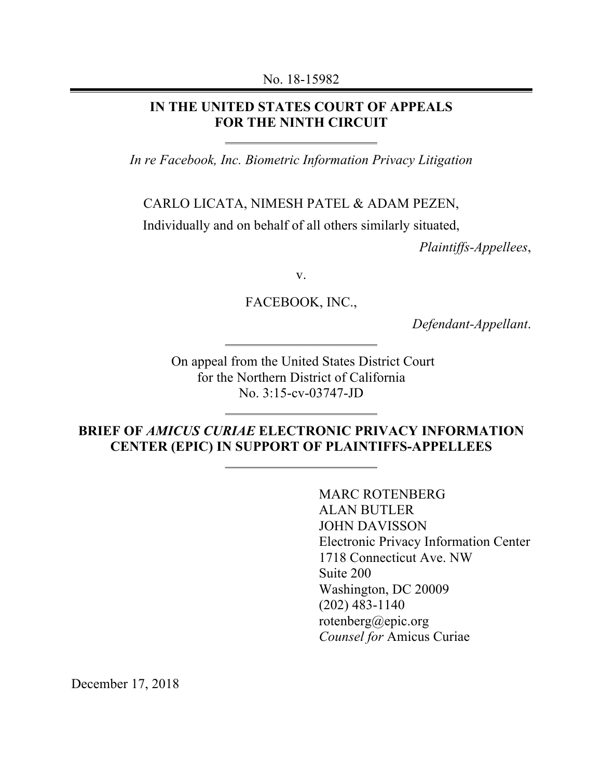No. 18-15982

#### **IN THE UNITED STATES COURT OF APPEALS FOR THE NINTH CIRCUIT**

*In re Facebook, Inc. Biometric Information Privacy Litigation*

CARLO LICATA, NIMESH PATEL & ADAM PEZEN,

Individually and on behalf of all others similarly situated,

*Plaintiffs-Appellees*,

v.

FACEBOOK, INC.,

*Defendant-Appellant*.

On appeal from the United States District Court for the Northern District of California No. 3:15-cv-03747-JD

### **BRIEF OF** *AMICUS CURIAE* **ELECTRONIC PRIVACY INFORMATION CENTER (EPIC) IN SUPPORT OF PLAINTIFFS-APPELLEES**

MARC ROTENBERG ALAN BUTLER JOHN DAVISSON Electronic Privacy Information Center 1718 Connecticut Ave. NW Suite 200 Washington, DC 20009 (202) 483-1140 rotenberg@epic.org *Counsel for* Amicus Curiae

December 17, 2018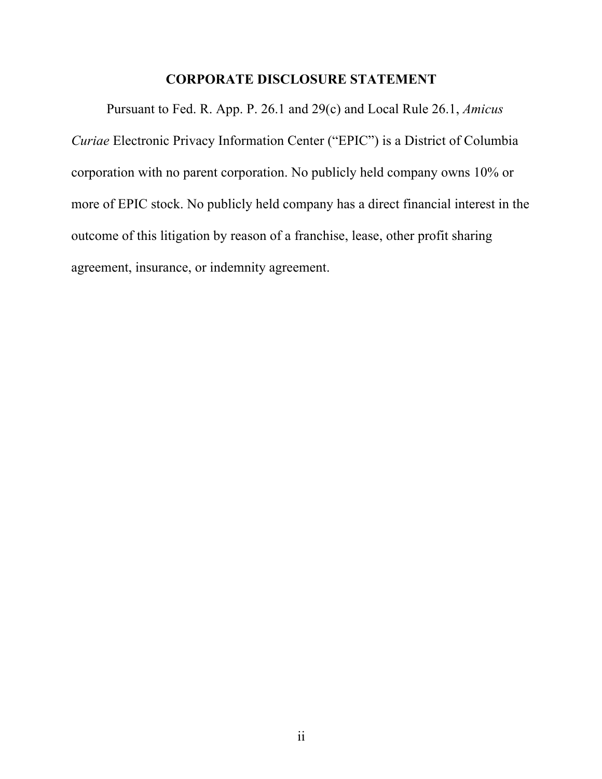#### **CORPORATE DISCLOSURE STATEMENT**

Pursuant to Fed. R. App. P. 26.1 and 29(c) and Local Rule 26.1, *Amicus Curiae* Electronic Privacy Information Center ("EPIC") is a District of Columbia corporation with no parent corporation. No publicly held company owns 10% or more of EPIC stock. No publicly held company has a direct financial interest in the outcome of this litigation by reason of a franchise, lease, other profit sharing agreement, insurance, or indemnity agreement.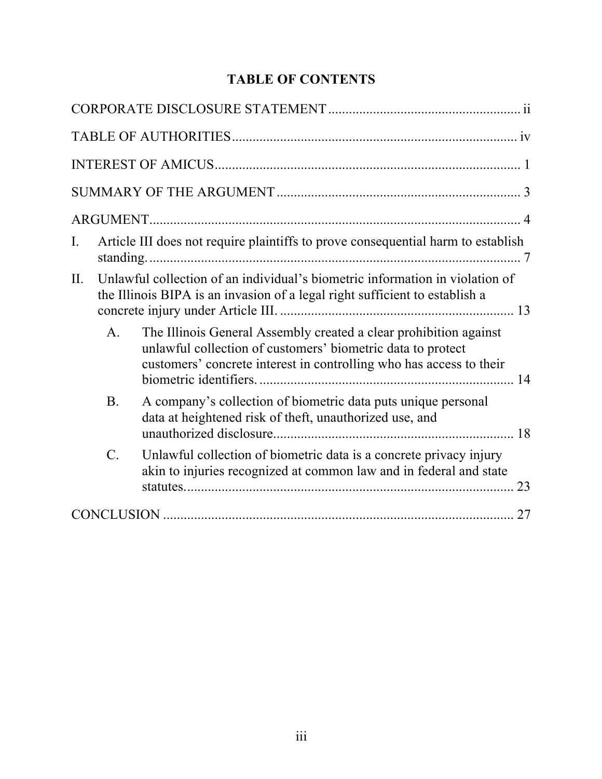| <b>TABLE OF CONTENTS</b> |
|--------------------------|
|--------------------------|

| Article III does not require plaintiffs to prove consequential harm to establish<br>$\mathbf{I}$ .                                                                                                                        |
|---------------------------------------------------------------------------------------------------------------------------------------------------------------------------------------------------------------------------|
| Unlawful collection of an individual's biometric information in violation of<br>II.<br>the Illinois BIPA is an invasion of a legal right sufficient to establish a                                                        |
| $\mathbf{A}$ .<br>The Illinois General Assembly created a clear prohibition against<br>unlawful collection of customers' biometric data to protect<br>customers' concrete interest in controlling who has access to their |
| A company's collection of biometric data puts unique personal<br><b>B</b> .<br>data at heightened risk of theft, unauthorized use, and                                                                                    |
| $\mathcal{C}$ .<br>Unlawful collection of biometric data is a concrete privacy injury<br>akin to injuries recognized at common law and in federal and state                                                               |
|                                                                                                                                                                                                                           |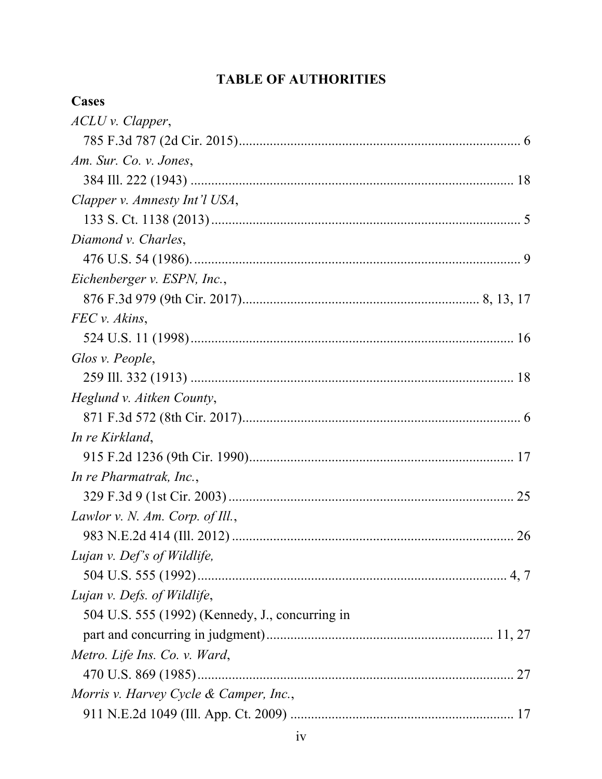# **TABLE OF AUTHORITIES**

| Cases                                           |  |
|-------------------------------------------------|--|
| ACLU v. Clapper,                                |  |
|                                                 |  |
| Am. Sur. Co. v. Jones,                          |  |
|                                                 |  |
| Clapper v. Amnesty Int'l USA,                   |  |
|                                                 |  |
| Diamond v. Charles,                             |  |
|                                                 |  |
| Eichenberger v. ESPN, Inc.,                     |  |
|                                                 |  |
| FEC v. Akins,                                   |  |
|                                                 |  |
| Glos v. People,                                 |  |
|                                                 |  |
| Heglund v. Aitken County,                       |  |
|                                                 |  |
| In re Kirkland,                                 |  |
|                                                 |  |
| In re Pharmatrak, Inc.,                         |  |
|                                                 |  |
| Lawlor v. N. Am. Corp. of Ill.,                 |  |
|                                                 |  |
| Lujan v. Def's of Wildlife,                     |  |
|                                                 |  |
| Lujan v. Defs. of Wildlife,                     |  |
| 504 U.S. 555 (1992) (Kennedy, J., concurring in |  |
|                                                 |  |
| Metro. Life Ins. Co. v. Ward,                   |  |
|                                                 |  |
| Morris v. Harvey Cycle & Camper, Inc.,          |  |
|                                                 |  |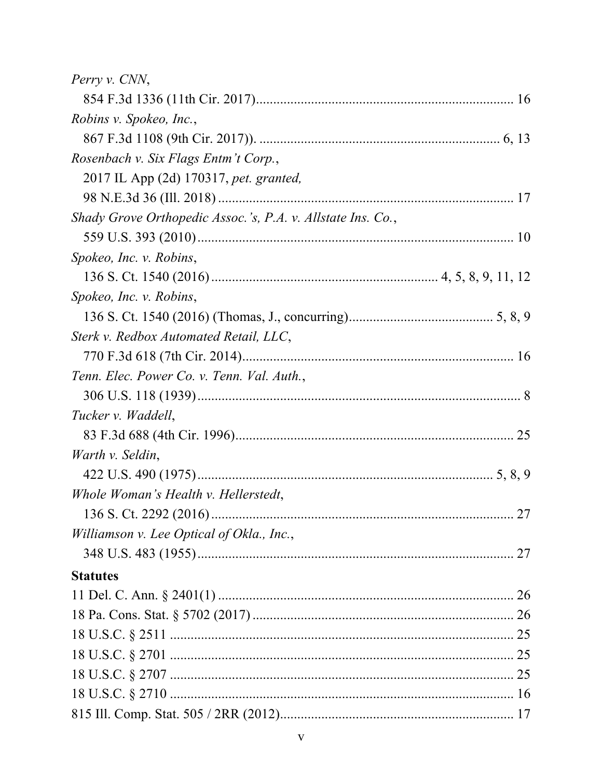| Perry v. CNN,                                               |  |
|-------------------------------------------------------------|--|
|                                                             |  |
| Robins v. Spokeo, Inc.,                                     |  |
|                                                             |  |
| Rosenbach v. Six Flags Entm't Corp.,                        |  |
| 2017 IL App (2d) 170317, pet. granted,                      |  |
|                                                             |  |
| Shady Grove Orthopedic Assoc.'s, P.A. v. Allstate Ins. Co., |  |
|                                                             |  |
| Spokeo, Inc. v. Robins,                                     |  |
|                                                             |  |
| Spokeo, Inc. v. Robins,                                     |  |
|                                                             |  |
| Sterk v. Redbox Automated Retail, LLC,                      |  |
|                                                             |  |
| Tenn. Elec. Power Co. v. Tenn. Val. Auth.,                  |  |
|                                                             |  |
| Tucker v. Waddell,                                          |  |
|                                                             |  |
| Warth v. Seldin,                                            |  |
|                                                             |  |
| Whole Woman's Health v. Hellerstedt,                        |  |
|                                                             |  |
| Williamson v. Lee Optical of Okla., Inc.,                   |  |
|                                                             |  |
| <b>Statutes</b>                                             |  |
|                                                             |  |
|                                                             |  |
|                                                             |  |
|                                                             |  |
|                                                             |  |
|                                                             |  |
|                                                             |  |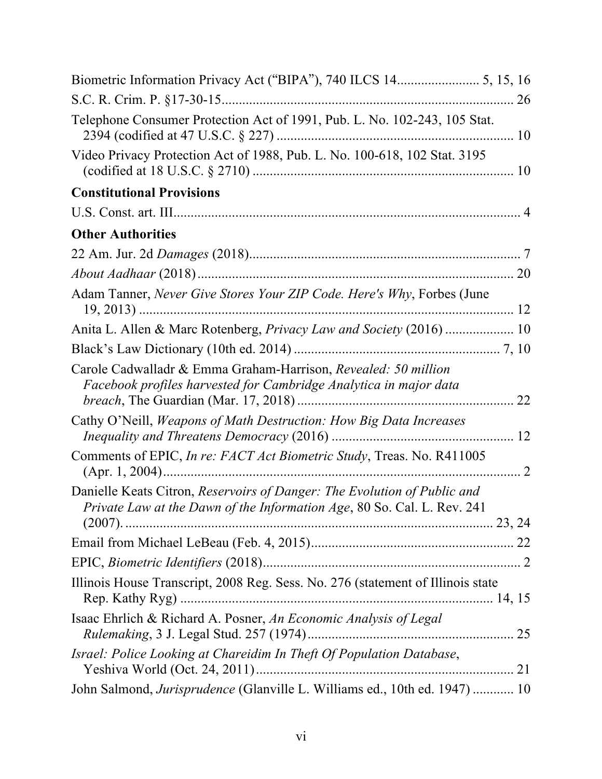| Telephone Consumer Protection Act of 1991, Pub. L. No. 102-243, 105 Stat.                                                                           |  |
|-----------------------------------------------------------------------------------------------------------------------------------------------------|--|
| Video Privacy Protection Act of 1988, Pub. L. No. 100-618, 102 Stat. 3195                                                                           |  |
| <b>Constitutional Provisions</b>                                                                                                                    |  |
|                                                                                                                                                     |  |
| <b>Other Authorities</b>                                                                                                                            |  |
|                                                                                                                                                     |  |
|                                                                                                                                                     |  |
| Adam Tanner, Never Give Stores Your ZIP Code. Here's Why, Forbes (June                                                                              |  |
| Anita L. Allen & Marc Rotenberg, Privacy Law and Society (2016)  10                                                                                 |  |
|                                                                                                                                                     |  |
| Carole Cadwalladr & Emma Graham-Harrison, Revealed: 50 million<br>Facebook profiles harvested for Cambridge Analytica in major data                 |  |
| Cathy O'Neill, Weapons of Math Destruction: How Big Data Increases                                                                                  |  |
| Comments of EPIC, In re: FACT Act Biometric Study, Treas. No. R411005                                                                               |  |
| Danielle Keats Citron, Reservoirs of Danger: The Evolution of Public and<br>Private Law at the Dawn of the Information Age, 80 So. Cal. L. Rev. 241 |  |
|                                                                                                                                                     |  |
|                                                                                                                                                     |  |
|                                                                                                                                                     |  |
| Illinois House Transcript, 2008 Reg. Sess. No. 276 (statement of Illinois state<br>Rep. Kathy Ryg)                                                  |  |
| Isaac Ehrlich & Richard A. Posner, An Economic Analysis of Legal                                                                                    |  |
| Israel: Police Looking at Chareidim In Theft Of Population Database,                                                                                |  |
| John Salmond, Jurisprudence (Glanville L. Williams ed., 10th ed. 1947)  10                                                                          |  |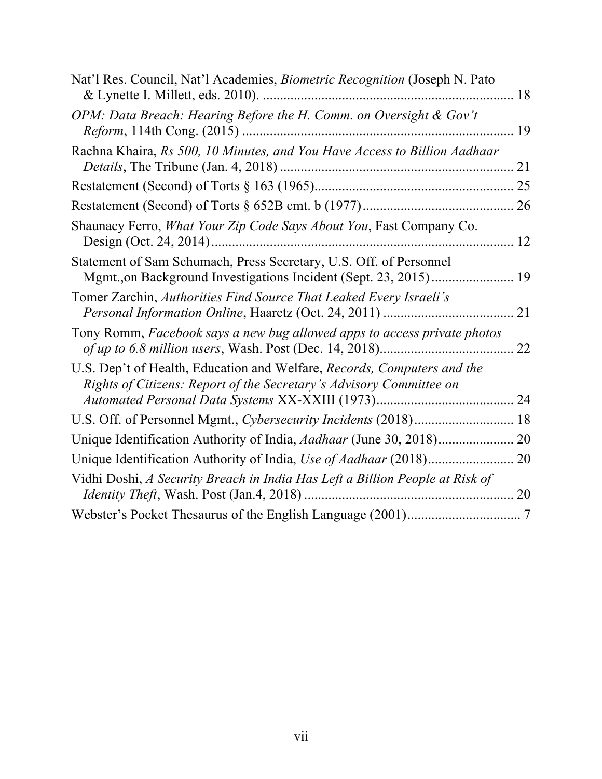| Nat'l Res. Council, Nat'l Academies, <i>Biometric Recognition</i> (Joseph N. Pato                                                              | 18 |
|------------------------------------------------------------------------------------------------------------------------------------------------|----|
| OPM: Data Breach: Hearing Before the H. Comm. on Oversight & Gov't                                                                             | 19 |
| Rachna Khaira, Rs 500, 10 Minutes, and You Have Access to Billion Aadhaar                                                                      | 21 |
|                                                                                                                                                |    |
|                                                                                                                                                | 26 |
| Shaunacy Ferro, What Your Zip Code Says About You, Fast Company Co.                                                                            | 12 |
| Statement of Sam Schumach, Press Secretary, U.S. Off. of Personnel                                                                             |    |
| Tomer Zarchin, Authorities Find Source That Leaked Every Israeli's                                                                             | 21 |
| Tony Romm, Facebook says a new bug allowed apps to access private photos                                                                       | 22 |
| U.S. Dep't of Health, Education and Welfare, Records, Computers and the<br>Rights of Citizens: Report of the Secretary's Advisory Committee on |    |
|                                                                                                                                                |    |
| U.S. Off. of Personnel Mgmt., Cybersecurity Incidents (2018) 18                                                                                |    |
|                                                                                                                                                |    |
|                                                                                                                                                | 20 |
| Vidhi Doshi, A Security Breach in India Has Left a Billion People at Risk of                                                                   |    |
|                                                                                                                                                |    |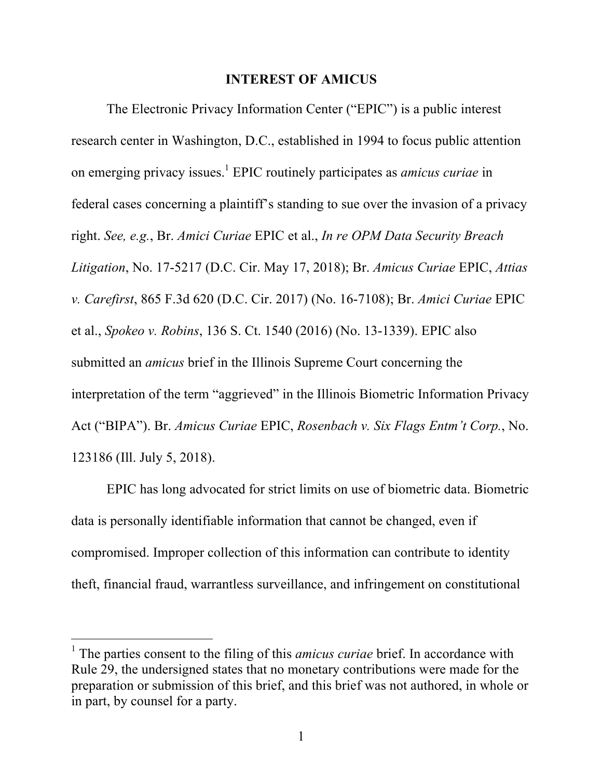#### **INTEREST OF AMICUS**

The Electronic Privacy Information Center ("EPIC") is a public interest research center in Washington, D.C., established in 1994 to focus public attention on emerging privacy issues. <sup>1</sup> EPIC routinely participates as *amicus curiae* in federal cases concerning a plaintiff's standing to sue over the invasion of a privacy right. *See, e.g.*, Br. *Amici Curiae* EPIC et al., *In re OPM Data Security Breach Litigation*, No. 17-5217 (D.C. Cir. May 17, 2018); Br. *Amicus Curiae* EPIC, *Attias v. Carefirst*, 865 F.3d 620 (D.C. Cir. 2017) (No. 16-7108); Br. *Amici Curiae* EPIC et al., *Spokeo v. Robins*, 136 S. Ct. 1540 (2016) (No. 13-1339). EPIC also submitted an *amicus* brief in the Illinois Supreme Court concerning the interpretation of the term "aggrieved" in the Illinois Biometric Information Privacy Act ("BIPA"). Br. *Amicus Curiae* EPIC, *Rosenbach v. Six Flags Entm't Corp.*, No. 123186 (Ill. July 5, 2018).

EPIC has long advocated for strict limits on use of biometric data. Biometric data is personally identifiable information that cannot be changed, even if compromised. Improper collection of this information can contribute to identity theft, financial fraud, warrantless surveillance, and infringement on constitutional

<sup>1</sup> The parties consent to the filing of this *amicus curiae* brief. In accordance with Rule 29, the undersigned states that no monetary contributions were made for the preparation or submission of this brief, and this brief was not authored, in whole or in part, by counsel for a party.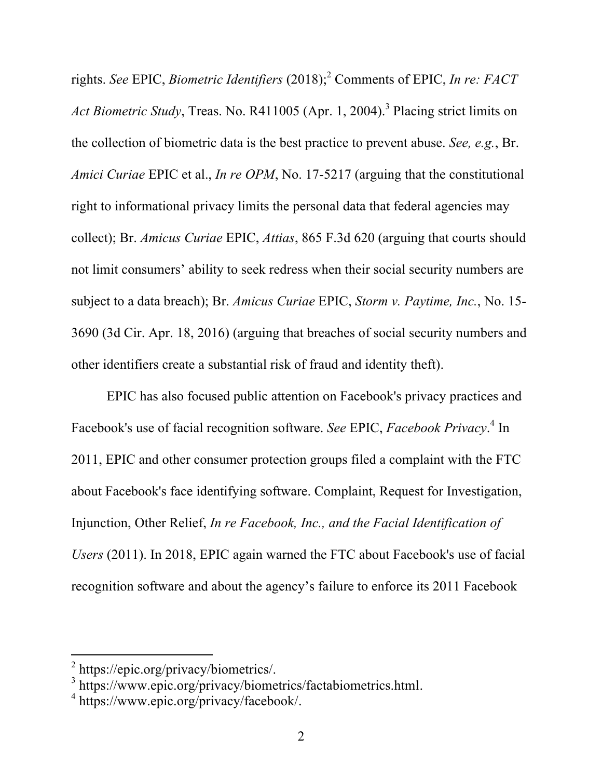rights. *See* EPIC, *Biometric Identifiers* (2018); <sup>2</sup> Comments of EPIC, *In re: FACT Act Biometric Study*, Treas. No. R411005 (Apr. 1, 2004). <sup>3</sup> Placing strict limits on the collection of biometric data is the best practice to prevent abuse. *See, e.g.*, Br. *Amici Curiae* EPIC et al., *In re OPM*, No. 17-5217 (arguing that the constitutional right to informational privacy limits the personal data that federal agencies may collect); Br. *Amicus Curiae* EPIC, *Attias*, 865 F.3d 620 (arguing that courts should not limit consumers' ability to seek redress when their social security numbers are subject to a data breach); Br. *Amicus Curiae* EPIC, *Storm v. Paytime, Inc.*, No. 15- 3690 (3d Cir. Apr. 18, 2016) (arguing that breaches of social security numbers and other identifiers create a substantial risk of fraud and identity theft).

EPIC has also focused public attention on Facebook's privacy practices and Facebook's use of facial recognition software. *See* EPIC, *Facebook Privacy*. <sup>4</sup> In 2011, EPIC and other consumer protection groups filed a complaint with the FTC about Facebook's face identifying software. Complaint, Request for Investigation, Injunction, Other Relief, *In re Facebook, Inc., and the Facial Identification of Users* (2011). In 2018, EPIC again warned the FTC about Facebook's use of facial recognition software and about the agency's failure to enforce its 2011 Facebook

<sup>&</sup>lt;sup>2</sup> https://epic.org/privacy/biometrics/.<br><sup>3</sup> https://www.epic.org/privacy/biometrics/factabiometrics.html.<br><sup>4</sup> https://www.epic.org/privacy/facebook/.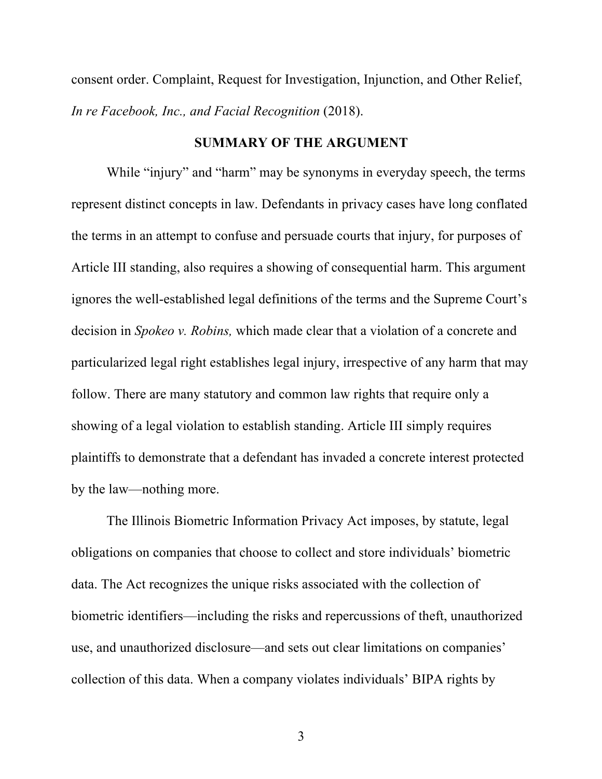consent order. Complaint, Request for Investigation, Injunction, and Other Relief, *In re Facebook, Inc., and Facial Recognition* (2018).

#### **SUMMARY OF THE ARGUMENT**

While "injury" and "harm" may be synonyms in everyday speech, the terms represent distinct concepts in law. Defendants in privacy cases have long conflated the terms in an attempt to confuse and persuade courts that injury, for purposes of Article III standing, also requires a showing of consequential harm. This argument ignores the well-established legal definitions of the terms and the Supreme Court's decision in *Spokeo v. Robins,* which made clear that a violation of a concrete and particularized legal right establishes legal injury, irrespective of any harm that may follow. There are many statutory and common law rights that require only a showing of a legal violation to establish standing. Article III simply requires plaintiffs to demonstrate that a defendant has invaded a concrete interest protected by the law—nothing more.

The Illinois Biometric Information Privacy Act imposes, by statute, legal obligations on companies that choose to collect and store individuals' biometric data. The Act recognizes the unique risks associated with the collection of biometric identifiers—including the risks and repercussions of theft, unauthorized use, and unauthorized disclosure—and sets out clear limitations on companies' collection of this data. When a company violates individuals' BIPA rights by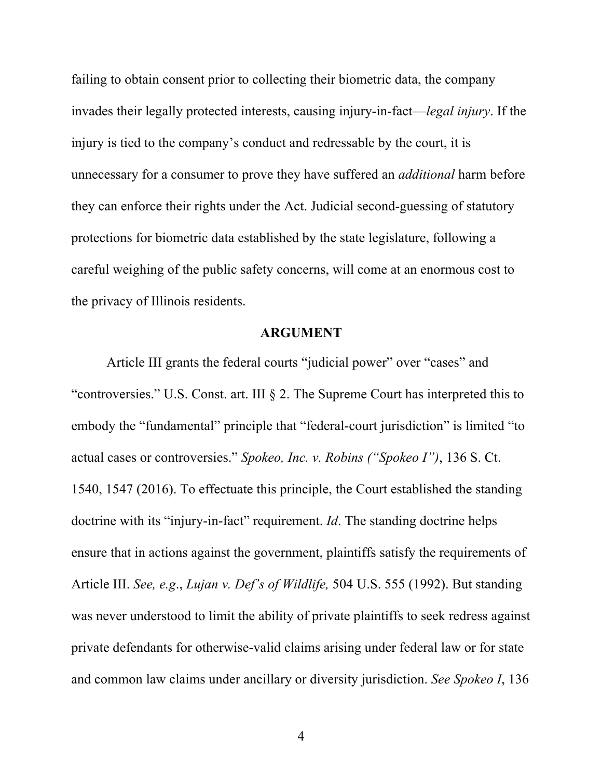failing to obtain consent prior to collecting their biometric data, the company invades their legally protected interests, causing injury-in-fact—*legal injury*. If the injury is tied to the company's conduct and redressable by the court, it is unnecessary for a consumer to prove they have suffered an *additional* harm before they can enforce their rights under the Act. Judicial second-guessing of statutory protections for biometric data established by the state legislature, following a careful weighing of the public safety concerns, will come at an enormous cost to the privacy of Illinois residents.

#### **ARGUMENT**

Article III grants the federal courts "judicial power" over "cases" and "controversies." U.S. Const. art. III § 2. The Supreme Court has interpreted this to embody the "fundamental" principle that "federal-court jurisdiction" is limited "to actual cases or controversies." *Spokeo, Inc. v. Robins ("Spokeo I")*, 136 S. Ct. 1540, 1547 (2016). To effectuate this principle, the Court established the standing doctrine with its "injury-in-fact" requirement. *Id*. The standing doctrine helps ensure that in actions against the government, plaintiffs satisfy the requirements of Article III. *See, e.g*., *Lujan v. Def's of Wildlife,* 504 U.S. 555 (1992). But standing was never understood to limit the ability of private plaintiffs to seek redress against private defendants for otherwise-valid claims arising under federal law or for state and common law claims under ancillary or diversity jurisdiction. *See Spokeo I*, 136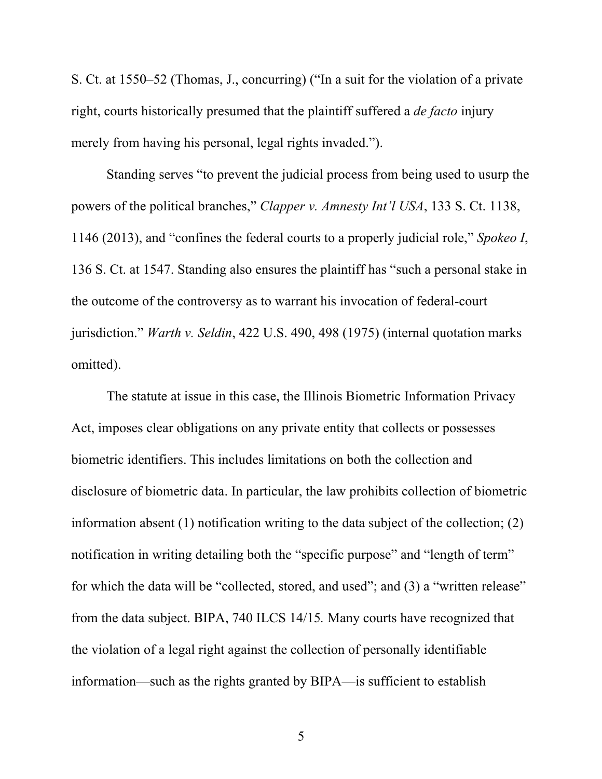S. Ct. at 1550–52 (Thomas, J., concurring) ("In a suit for the violation of a private right, courts historically presumed that the plaintiff suffered a *de facto* injury merely from having his personal, legal rights invaded.").

Standing serves "to prevent the judicial process from being used to usurp the powers of the political branches," *Clapper v. Amnesty Int'l USA*, 133 S. Ct. 1138, 1146 (2013), and "confines the federal courts to a properly judicial role," *Spokeo I*, 136 S. Ct. at 1547. Standing also ensures the plaintiff has "such a personal stake in the outcome of the controversy as to warrant his invocation of federal-court jurisdiction." *Warth v. Seldin*, 422 U.S. 490, 498 (1975) (internal quotation marks omitted).

The statute at issue in this case, the Illinois Biometric Information Privacy Act, imposes clear obligations on any private entity that collects or possesses biometric identifiers. This includes limitations on both the collection and disclosure of biometric data. In particular, the law prohibits collection of biometric information absent (1) notification writing to the data subject of the collection; (2) notification in writing detailing both the "specific purpose" and "length of term" for which the data will be "collected, stored, and used"; and (3) a "written release" from the data subject. BIPA, 740 ILCS 14/15*.* Many courts have recognized that the violation of a legal right against the collection of personally identifiable information—such as the rights granted by BIPA—is sufficient to establish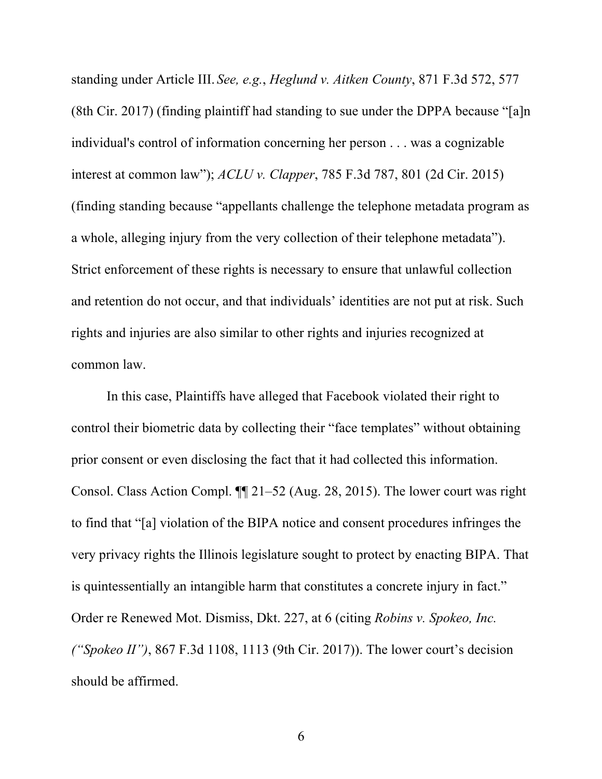standing under Article III. *See, e.g.*, *Heglund v. Aitken County*, 871 F.3d 572, 577 (8th Cir. 2017) (finding plaintiff had standing to sue under the DPPA because "[a]n individual's control of information concerning her person . . . was a cognizable interest at common law"); *ACLU v. Clapper*, 785 F.3d 787, 801 (2d Cir. 2015) (finding standing because "appellants challenge the telephone metadata program as a whole, alleging injury from the very collection of their telephone metadata"). Strict enforcement of these rights is necessary to ensure that unlawful collection and retention do not occur, and that individuals' identities are not put at risk. Such rights and injuries are also similar to other rights and injuries recognized at common law.

In this case, Plaintiffs have alleged that Facebook violated their right to control their biometric data by collecting their "face templates" without obtaining prior consent or even disclosing the fact that it had collected this information. Consol. Class Action Compl. ¶¶ 21–52 (Aug. 28, 2015). The lower court was right to find that "[a] violation of the BIPA notice and consent procedures infringes the very privacy rights the Illinois legislature sought to protect by enacting BIPA. That is quintessentially an intangible harm that constitutes a concrete injury in fact." Order re Renewed Mot. Dismiss, Dkt. 227, at 6 (citing *Robins v. Spokeo, Inc. ("Spokeo II")*, 867 F.3d 1108, 1113 (9th Cir. 2017)). The lower court's decision should be affirmed.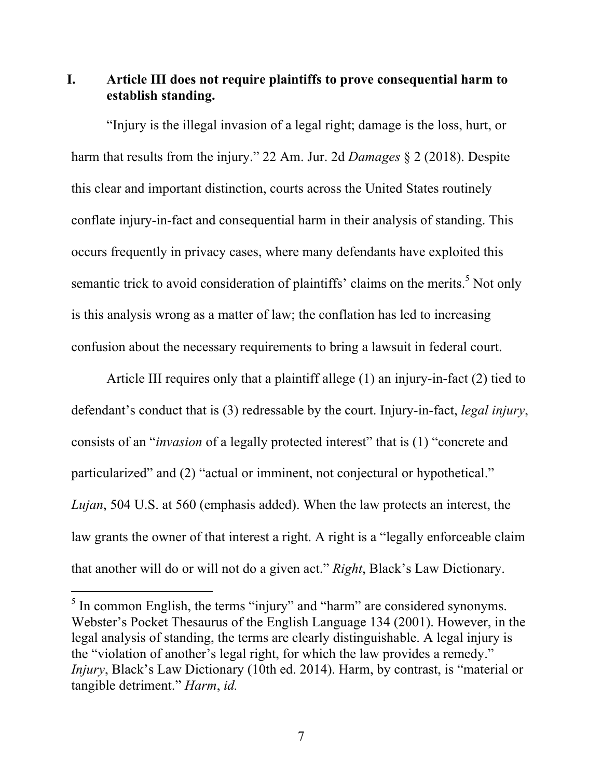**I. Article III does not require plaintiffs to prove consequential harm to establish standing.**

"Injury is the illegal invasion of a legal right; damage is the loss, hurt, or harm that results from the injury." 22 Am. Jur. 2d *Damages* § 2 (2018). Despite this clear and important distinction, courts across the United States routinely conflate injury-in-fact and consequential harm in their analysis of standing. This occurs frequently in privacy cases, where many defendants have exploited this semantic trick to avoid consideration of plaintiffs' claims on the merits.<sup>5</sup> Not only is this analysis wrong as a matter of law; the conflation has led to increasing confusion about the necessary requirements to bring a lawsuit in federal court.

Article III requires only that a plaintiff allege (1) an injury-in-fact (2) tied to defendant's conduct that is (3) redressable by the court. Injury-in-fact, *legal injury*, consists of an "*invasion* of a legally protected interest" that is (1) "concrete and particularized" and (2) "actual or imminent, not conjectural or hypothetical." *Lujan*, 504 U.S. at 560 (emphasis added). When the law protects an interest, the law grants the owner of that interest a right. A right is a "legally enforceable claim that another will do or will not do a given act." *Right*, Black's Law Dictionary.

 $\overline{a}$ 

<sup>&</sup>lt;sup>5</sup> In common English, the terms "injury" and "harm" are considered synonyms. Webster's Pocket Thesaurus of the English Language 134 (2001). However, in the legal analysis of standing, the terms are clearly distinguishable. A legal injury is the "violation of another's legal right, for which the law provides a remedy." *Injury*, Black's Law Dictionary (10th ed. 2014). Harm, by contrast, is "material or tangible detriment." *Harm*, *id.*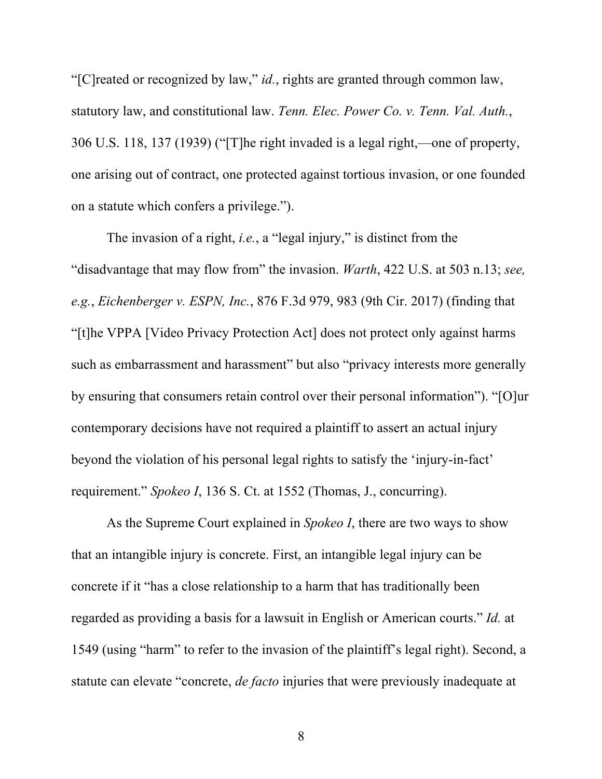"[C]reated or recognized by law," *id.*, rights are granted through common law, statutory law, and constitutional law. *Tenn. Elec. Power Co. v. Tenn. Val. Auth.*, 306 U.S. 118, 137 (1939) ("[T]he right invaded is a legal right,—one of property, one arising out of contract, one protected against tortious invasion, or one founded on a statute which confers a privilege.").

The invasion of a right, *i.e.*, a "legal injury," is distinct from the "disadvantage that may flow from" the invasion. *Warth*, 422 U.S. at 503 n.13; *see, e.g.*, *Eichenberger v. ESPN, Inc.*, 876 F.3d 979, 983 (9th Cir. 2017) (finding that "[t]he VPPA [Video Privacy Protection Act] does not protect only against harms such as embarrassment and harassment" but also "privacy interests more generally by ensuring that consumers retain control over their personal information"). "[O]ur contemporary decisions have not required a plaintiff to assert an actual injury beyond the violation of his personal legal rights to satisfy the 'injury-in-fact' requirement." *Spokeo I*, 136 S. Ct. at 1552 (Thomas, J., concurring).

As the Supreme Court explained in *Spokeo I*, there are two ways to show that an intangible injury is concrete. First, an intangible legal injury can be concrete if it "has a close relationship to a harm that has traditionally been regarded as providing a basis for a lawsuit in English or American courts." *Id.* at 1549 (using "harm" to refer to the invasion of the plaintiff's legal right). Second, a statute can elevate "concrete, *de facto* injuries that were previously inadequate at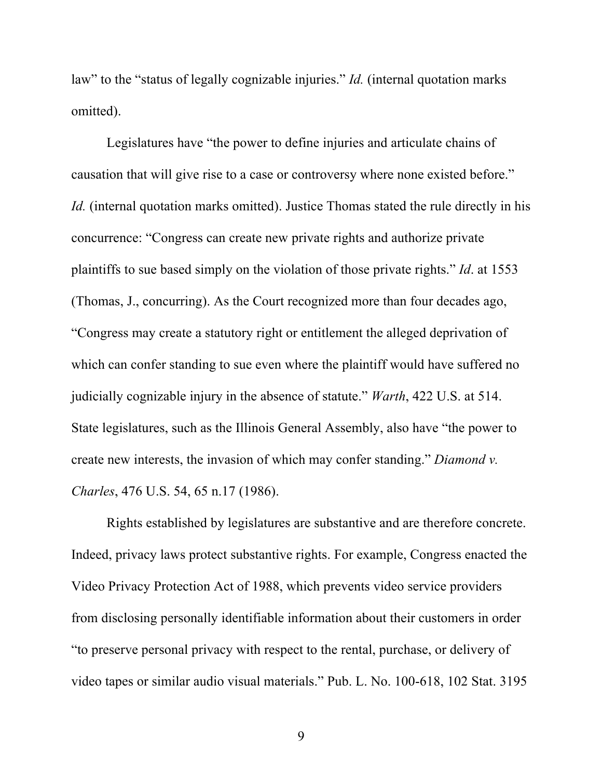law" to the "status of legally cognizable injuries." *Id.* (internal quotation marks omitted).

Legislatures have "the power to define injuries and articulate chains of causation that will give rise to a case or controversy where none existed before." *Id.* (internal quotation marks omitted). Justice Thomas stated the rule directly in his concurrence: "Congress can create new private rights and authorize private plaintiffs to sue based simply on the violation of those private rights." *Id*. at 1553 (Thomas, J., concurring). As the Court recognized more than four decades ago, "Congress may create a statutory right or entitlement the alleged deprivation of which can confer standing to sue even where the plaintiff would have suffered no judicially cognizable injury in the absence of statute." *Warth*, 422 U.S. at 514. State legislatures, such as the Illinois General Assembly, also have "the power to create new interests, the invasion of which may confer standing." *Diamond v. Charles*, 476 U.S. 54, 65 n.17 (1986).

Rights established by legislatures are substantive and are therefore concrete. Indeed, privacy laws protect substantive rights. For example, Congress enacted the Video Privacy Protection Act of 1988, which prevents video service providers from disclosing personally identifiable information about their customers in order "to preserve personal privacy with respect to the rental, purchase, or delivery of video tapes or similar audio visual materials." Pub. L. No. 100-618, 102 Stat. 3195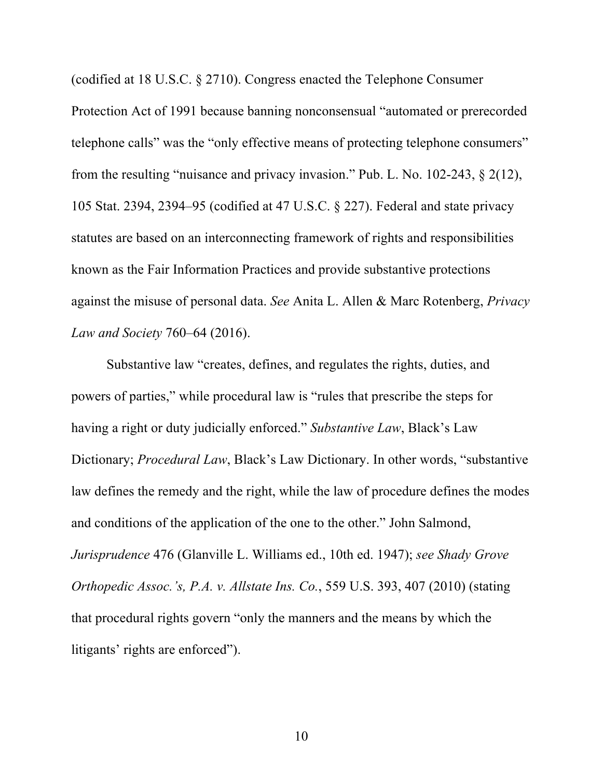(codified at 18 U.S.C. § 2710). Congress enacted the Telephone Consumer Protection Act of 1991 because banning nonconsensual "automated or prerecorded telephone calls" was the "only effective means of protecting telephone consumers" from the resulting "nuisance and privacy invasion." Pub. L. No. 102-243, § 2(12), 105 Stat. 2394, 2394–95 (codified at 47 U.S.C. § 227). Federal and state privacy statutes are based on an interconnecting framework of rights and responsibilities known as the Fair Information Practices and provide substantive protections against the misuse of personal data. *See* Anita L. Allen & Marc Rotenberg, *Privacy Law and Society* 760–64 (2016).

Substantive law "creates, defines, and regulates the rights, duties, and powers of parties," while procedural law is "rules that prescribe the steps for having a right or duty judicially enforced." *Substantive Law*, Black's Law Dictionary; *Procedural Law*, Black's Law Dictionary. In other words, "substantive law defines the remedy and the right, while the law of procedure defines the modes and conditions of the application of the one to the other." John Salmond, *Jurisprudence* 476 (Glanville L. Williams ed., 10th ed. 1947); *see Shady Grove Orthopedic Assoc.'s, P.A. v. Allstate Ins. Co.*, 559 U.S. 393, 407 (2010) (stating that procedural rights govern "only the manners and the means by which the litigants' rights are enforced").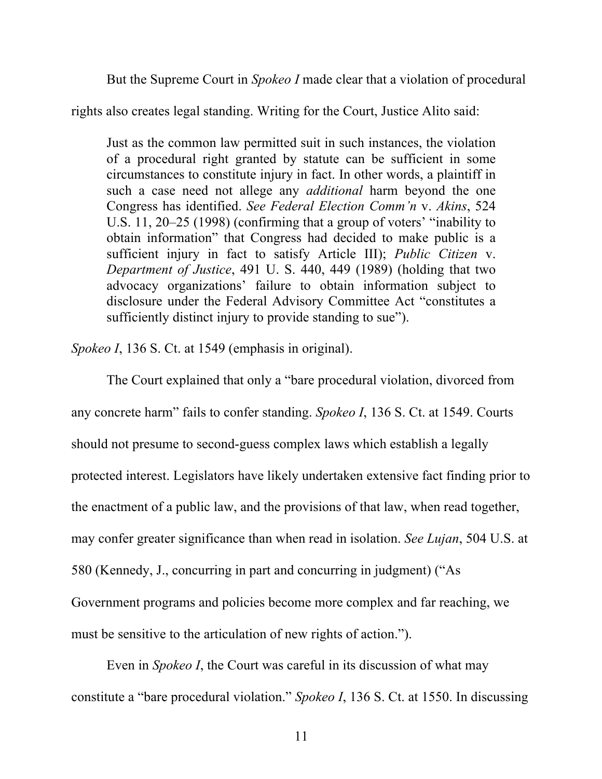But the Supreme Court in *Spokeo I* made clear that a violation of procedural

rights also creates legal standing. Writing for the Court, Justice Alito said:

Just as the common law permitted suit in such instances, the violation of a procedural right granted by statute can be sufficient in some circumstances to constitute injury in fact. In other words, a plaintiff in such a case need not allege any *additional* harm beyond the one Congress has identified. *See Federal Election Comm'n* v. *Akins*, 524 U.S. 11, 20–25 (1998) (confirming that a group of voters' "inability to obtain information" that Congress had decided to make public is a sufficient injury in fact to satisfy Article III); *Public Citizen* v. *Department of Justice*, 491 U. S. 440, 449 (1989) (holding that two advocacy organizations' failure to obtain information subject to disclosure under the Federal Advisory Committee Act "constitutes a sufficiently distinct injury to provide standing to sue").

*Spokeo I*, 136 S. Ct. at 1549 (emphasis in original).

The Court explained that only a "bare procedural violation, divorced from any concrete harm" fails to confer standing. *Spokeo I*, 136 S. Ct. at 1549. Courts should not presume to second-guess complex laws which establish a legally protected interest. Legislators have likely undertaken extensive fact finding prior to the enactment of a public law, and the provisions of that law, when read together, may confer greater significance than when read in isolation. *See Lujan*, 504 U.S. at 580 (Kennedy, J., concurring in part and concurring in judgment) ("As Government programs and policies become more complex and far reaching, we must be sensitive to the articulation of new rights of action.").

Even in *Spokeo I*, the Court was careful in its discussion of what may constitute a "bare procedural violation." *Spokeo I*, 136 S. Ct. at 1550. In discussing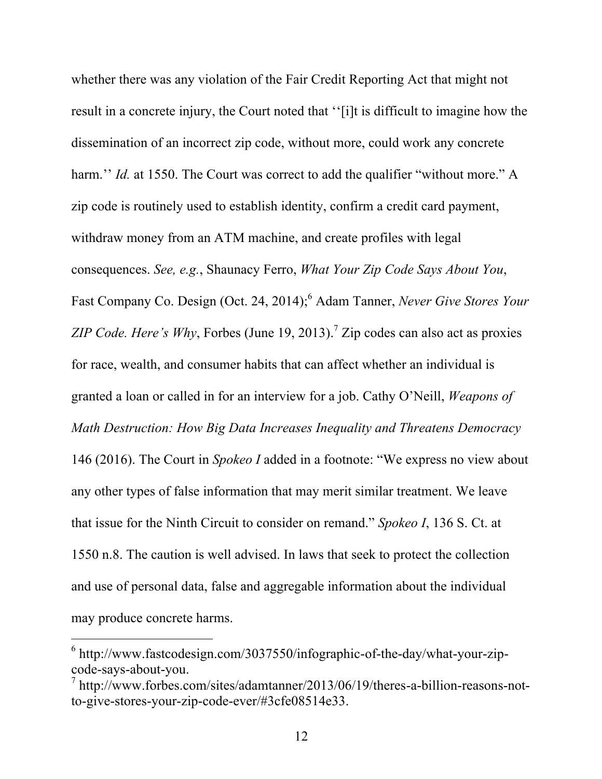whether there was any violation of the Fair Credit Reporting Act that might not result in a concrete injury, the Court noted that ''[i]t is difficult to imagine how the dissemination of an incorrect zip code, without more, could work any concrete harm." *Id.* at 1550. The Court was correct to add the qualifier "without more." A zip code is routinely used to establish identity, confirm a credit card payment, withdraw money from an ATM machine, and create profiles with legal consequences. *See, e.g.*, Shaunacy Ferro, *What Your Zip Code Says About You*, Fast Company Co. Design (Oct. 24, 2014); <sup>6</sup> Adam Tanner, *Never Give Stores Your ZIP Code. Here's Why*, Forbes (June 19, 2013). <sup>7</sup> Zip codes can also act as proxies for race, wealth, and consumer habits that can affect whether an individual is granted a loan or called in for an interview for a job. Cathy O'Neill, *Weapons of Math Destruction: How Big Data Increases Inequality and Threatens Democracy* 146 (2016). The Court in *Spokeo I* added in a footnote: "We express no view about any other types of false information that may merit similar treatment. We leave that issue for the Ninth Circuit to consider on remand." *Spokeo I*, 136 S. Ct. at 1550 n.8. The caution is well advised. In laws that seek to protect the collection and use of personal data, false and aggregable information about the individual may produce concrete harms.

 $6$  http://www.fastcodesign.com/3037550/infographic-of-the-day/what-your-zipcode-says-about-you. <sup>7</sup> http://www.forbes.com/sites/adamtanner/2013/06/19/theres-a-billion-reasons-not-

to-give-stores-your-zip-code-ever/#3cfe08514e33.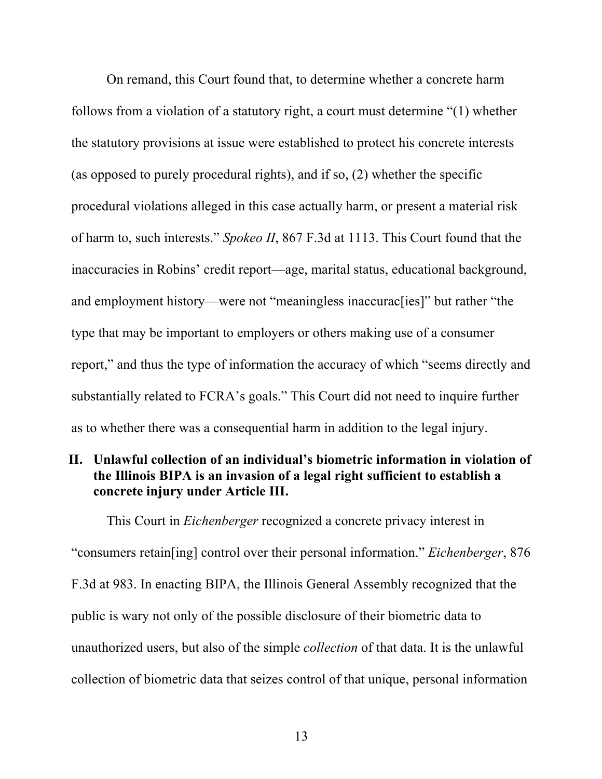On remand, this Court found that, to determine whether a concrete harm follows from a violation of a statutory right, a court must determine "(1) whether the statutory provisions at issue were established to protect his concrete interests (as opposed to purely procedural rights), and if so, (2) whether the specific procedural violations alleged in this case actually harm, or present a material risk of harm to, such interests." *Spokeo II*, 867 F.3d at 1113. This Court found that the inaccuracies in Robins' credit report—age, marital status, educational background, and employment history—were not "meaningless inaccurac[ies]" but rather "the type that may be important to employers or others making use of a consumer report," and thus the type of information the accuracy of which "seems directly and substantially related to FCRA's goals." This Court did not need to inquire further as to whether there was a consequential harm in addition to the legal injury.

### **II. Unlawful collection of an individual's biometric information in violation of the Illinois BIPA is an invasion of a legal right sufficient to establish a concrete injury under Article III.**

This Court in *Eichenberger* recognized a concrete privacy interest in "consumers retain[ing] control over their personal information." *Eichenberger*, 876 F.3d at 983. In enacting BIPA, the Illinois General Assembly recognized that the public is wary not only of the possible disclosure of their biometric data to unauthorized users, but also of the simple *collection* of that data. It is the unlawful collection of biometric data that seizes control of that unique, personal information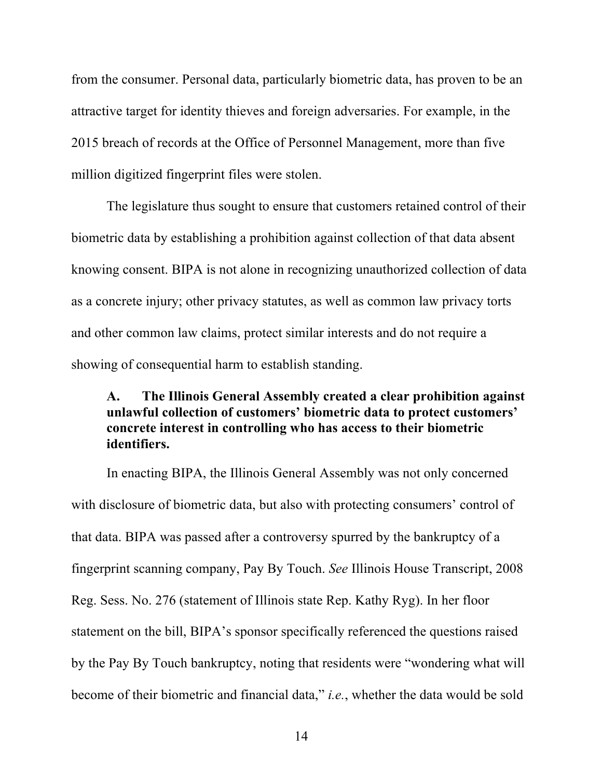from the consumer. Personal data, particularly biometric data, has proven to be an attractive target for identity thieves and foreign adversaries. For example, in the 2015 breach of records at the Office of Personnel Management, more than five million digitized fingerprint files were stolen.

The legislature thus sought to ensure that customers retained control of their biometric data by establishing a prohibition against collection of that data absent knowing consent. BIPA is not alone in recognizing unauthorized collection of data as a concrete injury; other privacy statutes, as well as common law privacy torts and other common law claims, protect similar interests and do not require a showing of consequential harm to establish standing.

### **A. The Illinois General Assembly created a clear prohibition against unlawful collection of customers' biometric data to protect customers' concrete interest in controlling who has access to their biometric identifiers.**

In enacting BIPA, the Illinois General Assembly was not only concerned with disclosure of biometric data, but also with protecting consumers' control of that data. BIPA was passed after a controversy spurred by the bankruptcy of a fingerprint scanning company, Pay By Touch. *See* Illinois House Transcript, 2008 Reg. Sess. No. 276 (statement of Illinois state Rep. Kathy Ryg). In her floor statement on the bill, BIPA's sponsor specifically referenced the questions raised by the Pay By Touch bankruptcy, noting that residents were "wondering what will become of their biometric and financial data," *i.e.*, whether the data would be sold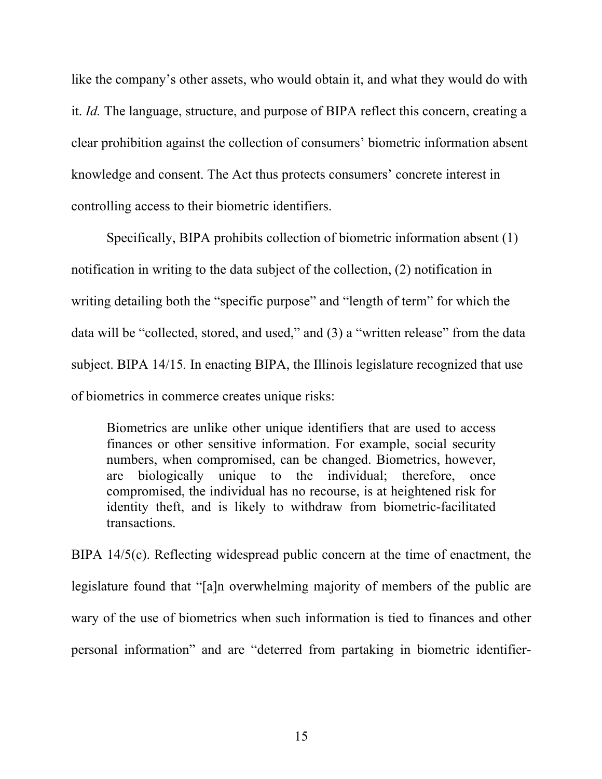like the company's other assets, who would obtain it, and what they would do with it. *Id.* The language, structure, and purpose of BIPA reflect this concern, creating a clear prohibition against the collection of consumers' biometric information absent knowledge and consent. The Act thus protects consumers' concrete interest in controlling access to their biometric identifiers.

Specifically, BIPA prohibits collection of biometric information absent (1) notification in writing to the data subject of the collection, (2) notification in writing detailing both the "specific purpose" and "length of term" for which the data will be "collected, stored, and used," and (3) a "written release" from the data subject. BIPA 14/15*.* In enacting BIPA, the Illinois legislature recognized that use of biometrics in commerce creates unique risks:

Biometrics are unlike other unique identifiers that are used to access finances or other sensitive information. For example, social security numbers, when compromised, can be changed. Biometrics, however, are biologically unique to the individual; therefore, once compromised, the individual has no recourse, is at heightened risk for identity theft, and is likely to withdraw from biometric-facilitated transactions.

BIPA 14/5(c). Reflecting widespread public concern at the time of enactment, the legislature found that "[a]n overwhelming majority of members of the public are wary of the use of biometrics when such information is tied to finances and other personal information" and are "deterred from partaking in biometric identifier-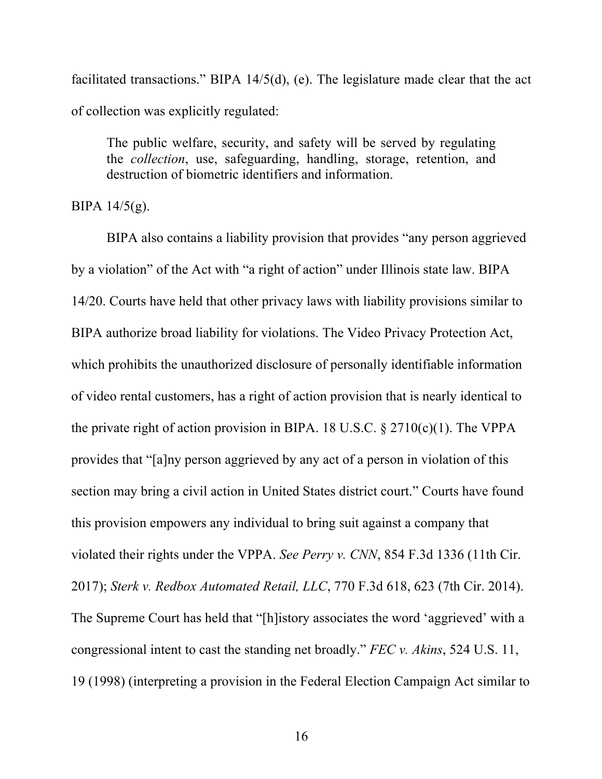facilitated transactions." BIPA 14/5(d), (e). The legislature made clear that the act of collection was explicitly regulated:

The public welfare, security, and safety will be served by regulating the *collection*, use, safeguarding, handling, storage, retention, and destruction of biometric identifiers and information.

BIPA 14/5(g).

BIPA also contains a liability provision that provides "any person aggrieved by a violation" of the Act with "a right of action" under Illinois state law. BIPA 14/20. Courts have held that other privacy laws with liability provisions similar to BIPA authorize broad liability for violations. The Video Privacy Protection Act, which prohibits the unauthorized disclosure of personally identifiable information of video rental customers, has a right of action provision that is nearly identical to the private right of action provision in BIPA. 18 U.S.C.  $\S 2710(c)(1)$ . The VPPA provides that "[a]ny person aggrieved by any act of a person in violation of this section may bring a civil action in United States district court." Courts have found this provision empowers any individual to bring suit against a company that violated their rights under the VPPA. *See Perry v. CNN*, 854 F.3d 1336 (11th Cir. 2017); *Sterk v. Redbox Automated Retail, LLC*, 770 F.3d 618, 623 (7th Cir. 2014). The Supreme Court has held that "[h]istory associates the word 'aggrieved' with a congressional intent to cast the standing net broadly." *FEC v. Akins*, 524 U.S. 11, 19 (1998) (interpreting a provision in the Federal Election Campaign Act similar to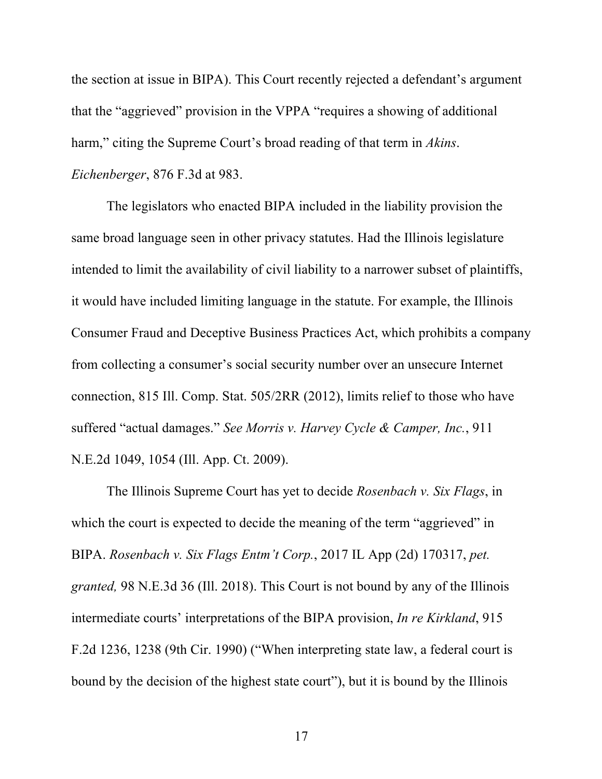the section at issue in BIPA). This Court recently rejected a defendant's argument that the "aggrieved" provision in the VPPA "requires a showing of additional harm," citing the Supreme Court's broad reading of that term in *Akins*. *Eichenberger*, 876 F.3d at 983.

The legislators who enacted BIPA included in the liability provision the same broad language seen in other privacy statutes. Had the Illinois legislature intended to limit the availability of civil liability to a narrower subset of plaintiffs, it would have included limiting language in the statute. For example, the Illinois Consumer Fraud and Deceptive Business Practices Act, which prohibits a company from collecting a consumer's social security number over an unsecure Internet connection, 815 Ill. Comp. Stat. 505/2RR (2012), limits relief to those who have suffered "actual damages." *See Morris v. Harvey Cycle & Camper, Inc.*, 911 N.E.2d 1049, 1054 (Ill. App. Ct. 2009).

The Illinois Supreme Court has yet to decide *Rosenbach v. Six Flags*, in which the court is expected to decide the meaning of the term "aggrieved" in BIPA. *Rosenbach v. Six Flags Entm't Corp.*, 2017 IL App (2d) 170317, *pet. granted,* 98 N.E.3d 36 (Ill. 2018). This Court is not bound by any of the Illinois intermediate courts' interpretations of the BIPA provision, *In re Kirkland*, 915 F.2d 1236, 1238 (9th Cir. 1990) ("When interpreting state law, a federal court is bound by the decision of the highest state court"), but it is bound by the Illinois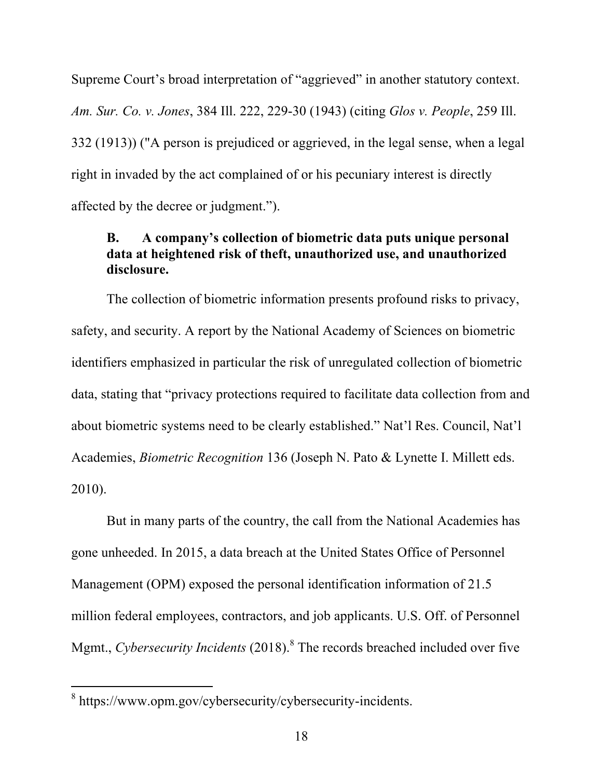Supreme Court's broad interpretation of "aggrieved" in another statutory context. *Am. Sur. Co. v. Jones*, 384 Ill. 222, 229-30 (1943) (citing *Glos v. People*, 259 Ill. 332 (1913)) ("A person is prejudiced or aggrieved, in the legal sense, when a legal right in invaded by the act complained of or his pecuniary interest is directly affected by the decree or judgment.").

### **B. A company's collection of biometric data puts unique personal data at heightened risk of theft, unauthorized use, and unauthorized disclosure.**

The collection of biometric information presents profound risks to privacy, safety, and security. A report by the National Academy of Sciences on biometric identifiers emphasized in particular the risk of unregulated collection of biometric data, stating that "privacy protections required to facilitate data collection from and about biometric systems need to be clearly established." Nat'l Res. Council, Nat'l Academies, *Biometric Recognition* 136 (Joseph N. Pato & Lynette I. Millett eds. 2010).

But in many parts of the country, the call from the National Academies has gone unheeded. In 2015, a data breach at the United States Office of Personnel Management (OPM) exposed the personal identification information of 21.5 million federal employees, contractors, and job applicants. U.S. Off. of Personnel Mgmt., *Cybersecurity Incidents* (2018). <sup>8</sup> The records breached included over five

<sup>&</sup>lt;sup>8</sup> https://www.opm.gov/cybersecurity/cybersecurity-incidents.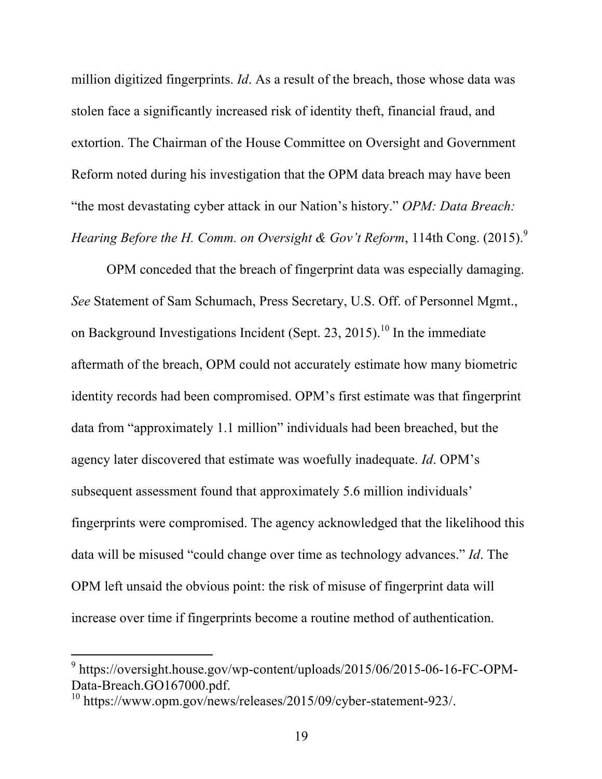million digitized fingerprints. *Id*. As a result of the breach, those whose data was stolen face a significantly increased risk of identity theft, financial fraud, and extortion. The Chairman of the House Committee on Oversight and Government Reform noted during his investigation that the OPM data breach may have been "the most devastating cyber attack in our Nation's history." *OPM: Data Breach: Hearing Before the H. Comm. on Oversight & Gov't Reform*, 114th Cong. (2015). 9

OPM conceded that the breach of fingerprint data was especially damaging. *See* Statement of Sam Schumach, Press Secretary, U.S. Off. of Personnel Mgmt., on Background Investigations Incident (Sept. 23, 2015).<sup>10</sup> In the immediate aftermath of the breach, OPM could not accurately estimate how many biometric identity records had been compromised. OPM's first estimate was that fingerprint data from "approximately 1.1 million" individuals had been breached, but the agency later discovered that estimate was woefully inadequate. *Id*. OPM's subsequent assessment found that approximately 5.6 million individuals' fingerprints were compromised. The agency acknowledged that the likelihood this data will be misused "could change over time as technology advances." *Id*. The OPM left unsaid the obvious point: the risk of misuse of fingerprint data will increase over time if fingerprints become a routine method of authentication.

 $9$  https://oversight.house.gov/wp-content/uploads/2015/06/2015-06-16-FC-OPM-Data-Breach.GO167000.pdf.

 $^{10}$  https://www.opm.gov/news/releases/2015/09/cyber-statement-923/.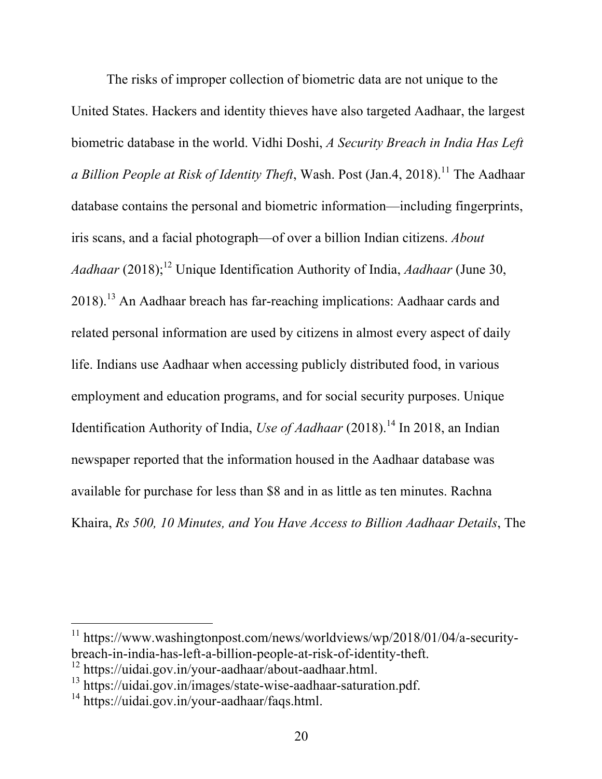The risks of improper collection of biometric data are not unique to the United States. Hackers and identity thieves have also targeted Aadhaar, the largest biometric database in the world. Vidhi Doshi, *A Security Breach in India Has Left a Billion People at Risk of Identity Theft*, Wash. Post (Jan.4, 2018). <sup>11</sup> The Aadhaar database contains the personal and biometric information—including fingerprints, iris scans, and a facial photograph—of over a billion Indian citizens. *About Aadhaar* (2018); <sup>12</sup> Unique Identification Authority of India, *Aadhaar* (June 30, 2018).<sup>13</sup> An Aadhaar breach has far-reaching implications: Aadhaar cards and related personal information are used by citizens in almost every aspect of daily life. Indians use Aadhaar when accessing publicly distributed food, in various employment and education programs, and for social security purposes. Unique Identification Authority of India, *Use of Aadhaar* (2018). <sup>14</sup> In 2018, an Indian newspaper reported that the information housed in the Aadhaar database was available for purchase for less than \$8 and in as little as ten minutes. Rachna Khaira, *Rs 500, 10 Minutes, and You Have Access to Billion Aadhaar Details*, The

<sup>&</sup>lt;sup>11</sup> https://www.washingtonpost.com/news/worldviews/wp/2018/01/04/a-securitybreach-in-india-has-left-a-billion-people-at-risk-of-identity-theft.<br><sup>12</sup> https://uidai.gov.in/your-aadhaar/about-aadhaar.html.<br><sup>13</sup> https://uidai.gov.in/images/state-wise-aadhaar-saturation.pdf.<br><sup>14</sup> https://uidai.gov.in/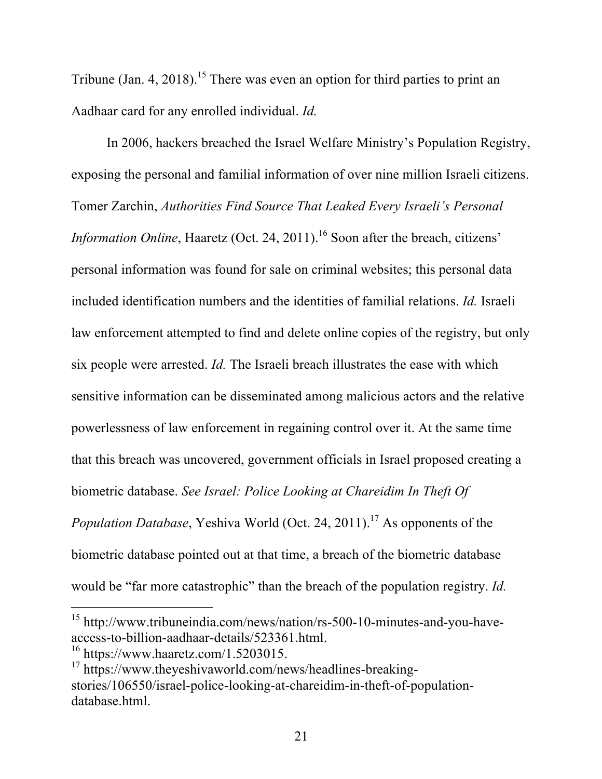Tribune (Jan. 4, 2018).<sup>15</sup> There was even an option for third parties to print an Aadhaar card for any enrolled individual. *Id.*

In 2006, hackers breached the Israel Welfare Ministry's Population Registry, exposing the personal and familial information of over nine million Israeli citizens. Tomer Zarchin, *Authorities Find Source That Leaked Every Israeli's Personal Information Online*, Haaretz (Oct. 24, 2011). <sup>16</sup> Soon after the breach, citizens' personal information was found for sale on criminal websites; this personal data included identification numbers and the identities of familial relations. *Id.* Israeli law enforcement attempted to find and delete online copies of the registry, but only six people were arrested. *Id.* The Israeli breach illustrates the ease with which sensitive information can be disseminated among malicious actors and the relative powerlessness of law enforcement in regaining control over it. At the same time that this breach was uncovered, government officials in Israel proposed creating a biometric database. *See Israel: Police Looking at Chareidim In Theft Of Population Database*, Yeshiva World (Oct. 24, 2011). <sup>17</sup> As opponents of the biometric database pointed out at that time, a breach of the biometric database would be "far more catastrophic" than the breach of the population registry. *Id.*

<sup>15</sup> http://www.tribuneindia.com/news/nation/rs-500-10-minutes-and-you-haveaccess-to-billion-aadhaar-details/523361.html.<br><sup>16</sup> https://www.haaretz.com/1.5203015.<br><sup>17</sup> https://www.theyeshivaworld.com/news/headlines-breaking-

stories/106550/israel-police-looking-at-chareidim-in-theft-of-populationdatabase.html.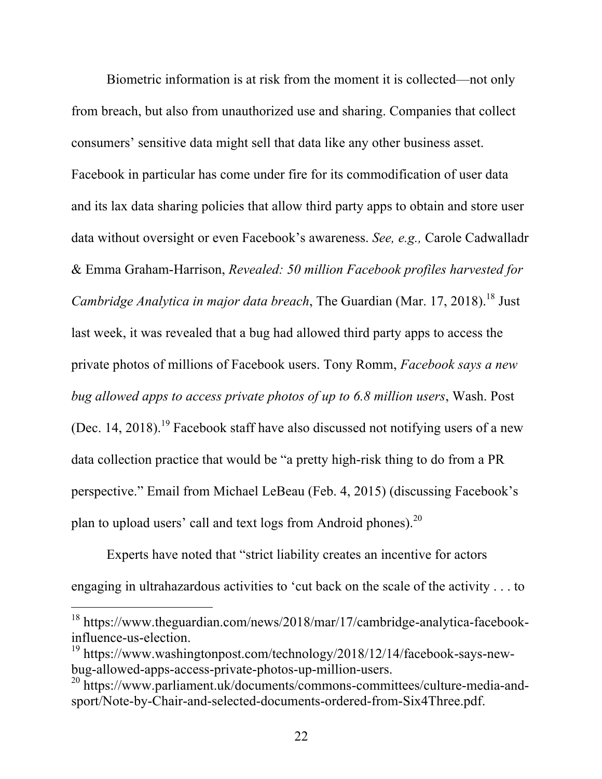Biometric information is at risk from the moment it is collected—not only from breach, but also from unauthorized use and sharing. Companies that collect consumers' sensitive data might sell that data like any other business asset. Facebook in particular has come under fire for its commodification of user data and its lax data sharing policies that allow third party apps to obtain and store user data without oversight or even Facebook's awareness. *See, e.g.,* Carole Cadwalladr & Emma Graham-Harrison, *Revealed: 50 million Facebook profiles harvested for Cambridge Analytica in major data breach*, The Guardian (Mar. 17, 2018). <sup>18</sup> Just last week, it was revealed that a bug had allowed third party apps to access the private photos of millions of Facebook users. Tony Romm, *Facebook says a new bug allowed apps to access private photos of up to 6.8 million users*, Wash. Post (Dec. 14, 2018).<sup>19</sup> Facebook staff have also discussed not notifying users of a new data collection practice that would be "a pretty high-risk thing to do from a PR perspective." Email from Michael LeBeau (Feb. 4, 2015) (discussing Facebook's plan to upload users' call and text logs from Android phones).<sup>20</sup>

Experts have noted that "strict liability creates an incentive for actors engaging in ultrahazardous activities to 'cut back on the scale of the activity . . . to

<sup>18</sup> https://www.theguardian.com/news/2018/mar/17/cambridge-analytica-facebookinfluence-us-election. <sup>19</sup> https://www.washingtonpost.com/technology/2018/12/14/facebook-says-new-

bug-allowed-apps-access-private-photos-up-million-users. <sup>20</sup> https://www.parliament.uk/documents/commons-committees/culture-media-and-

sport/Note-by-Chair-and-selected-documents-ordered-from-Six4Three.pdf.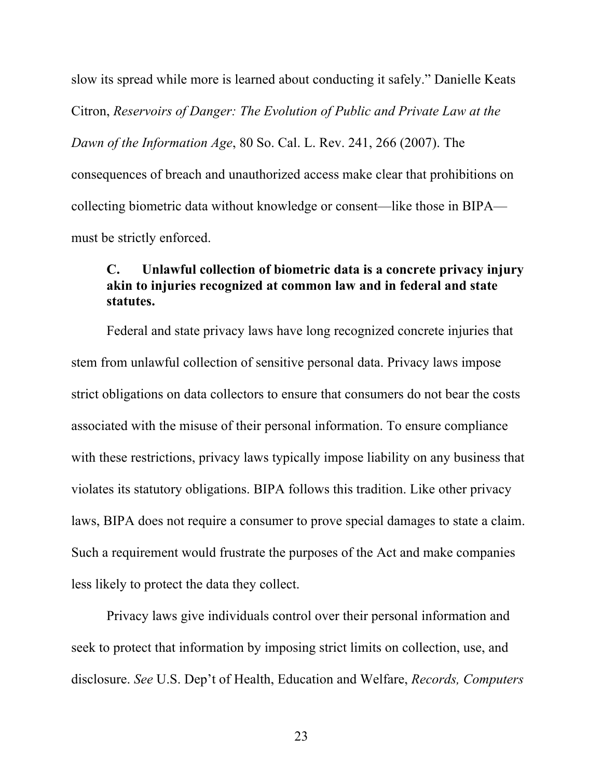slow its spread while more is learned about conducting it safely." Danielle Keats Citron, *Reservoirs of Danger: The Evolution of Public and Private Law at the Dawn of the Information Age*, 80 So. Cal. L. Rev. 241, 266 (2007). The consequences of breach and unauthorized access make clear that prohibitions on collecting biometric data without knowledge or consent—like those in BIPA must be strictly enforced.

#### **C. Unlawful collection of biometric data is a concrete privacy injury akin to injuries recognized at common law and in federal and state statutes.**

Federal and state privacy laws have long recognized concrete injuries that stem from unlawful collection of sensitive personal data. Privacy laws impose strict obligations on data collectors to ensure that consumers do not bear the costs associated with the misuse of their personal information. To ensure compliance with these restrictions, privacy laws typically impose liability on any business that violates its statutory obligations. BIPA follows this tradition. Like other privacy laws, BIPA does not require a consumer to prove special damages to state a claim. Such a requirement would frustrate the purposes of the Act and make companies less likely to protect the data they collect.

Privacy laws give individuals control over their personal information and seek to protect that information by imposing strict limits on collection, use, and disclosure. *See* U.S. Dep't of Health, Education and Welfare, *Records, Computers*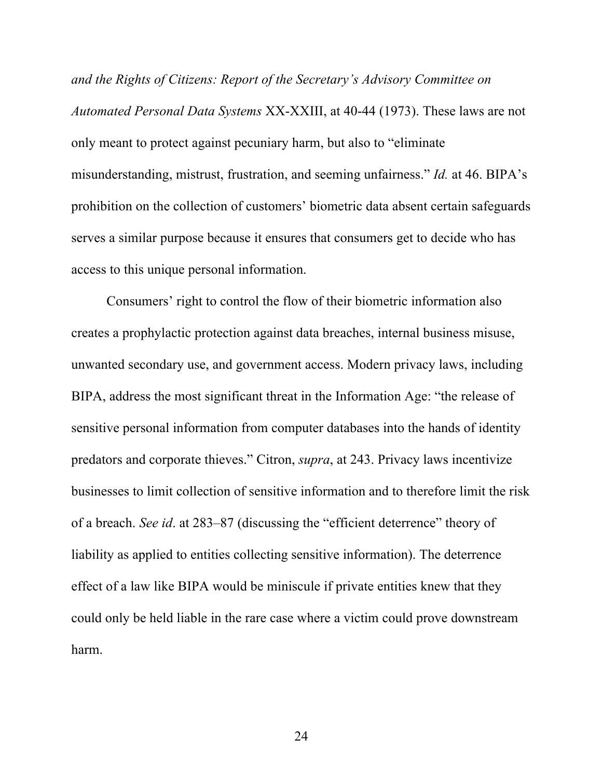*and the Rights of Citizens: Report of the Secretary's Advisory Committee on Automated Personal Data Systems* XX-XXIII, at 40-44 (1973). These laws are not only meant to protect against pecuniary harm, but also to "eliminate misunderstanding, mistrust, frustration, and seeming unfairness." *Id.* at 46. BIPA's prohibition on the collection of customers' biometric data absent certain safeguards serves a similar purpose because it ensures that consumers get to decide who has access to this unique personal information.

Consumers' right to control the flow of their biometric information also creates a prophylactic protection against data breaches, internal business misuse, unwanted secondary use, and government access. Modern privacy laws, including BIPA, address the most significant threat in the Information Age: "the release of sensitive personal information from computer databases into the hands of identity predators and corporate thieves." Citron, *supra*, at 243. Privacy laws incentivize businesses to limit collection of sensitive information and to therefore limit the risk of a breach. *See id*. at 283–87 (discussing the "efficient deterrence" theory of liability as applied to entities collecting sensitive information). The deterrence effect of a law like BIPA would be miniscule if private entities knew that they could only be held liable in the rare case where a victim could prove downstream harm.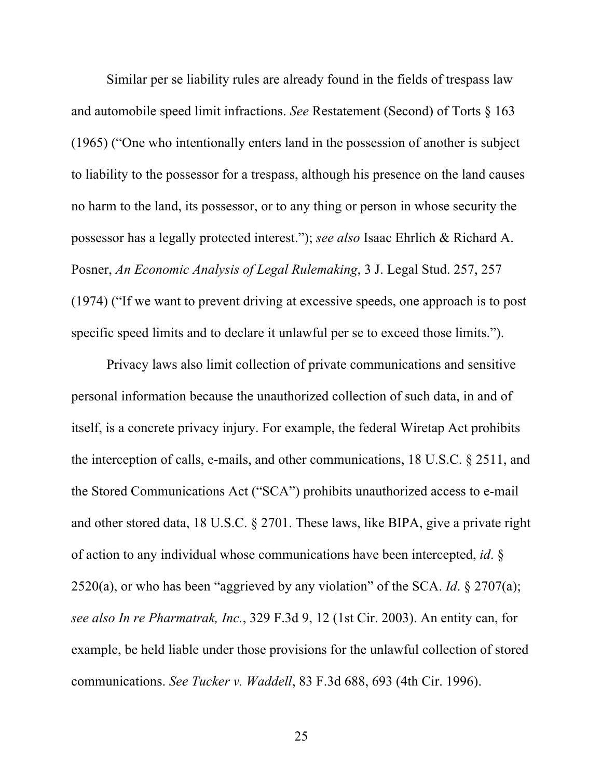Similar per se liability rules are already found in the fields of trespass law and automobile speed limit infractions. *See* Restatement (Second) of Torts § 163 (1965) ("One who intentionally enters land in the possession of another is subject to liability to the possessor for a trespass, although his presence on the land causes no harm to the land, its possessor, or to any thing or person in whose security the possessor has a legally protected interest."); *see also* Isaac Ehrlich & Richard A. Posner, *An Economic Analysis of Legal Rulemaking*, 3 J. Legal Stud. 257, 257 (1974) ("If we want to prevent driving at excessive speeds, one approach is to post specific speed limits and to declare it unlawful per se to exceed those limits.").

Privacy laws also limit collection of private communications and sensitive personal information because the unauthorized collection of such data, in and of itself, is a concrete privacy injury. For example, the federal Wiretap Act prohibits the interception of calls, e-mails, and other communications, 18 U.S.C. § 2511, and the Stored Communications Act ("SCA") prohibits unauthorized access to e-mail and other stored data, 18 U.S.C. § 2701. These laws, like BIPA, give a private right of action to any individual whose communications have been intercepted, *id*. § 2520(a), or who has been "aggrieved by any violation" of the SCA. *Id*. § 2707(a); *see also In re Pharmatrak, Inc.*, 329 F.3d 9, 12 (1st Cir. 2003). An entity can, for example, be held liable under those provisions for the unlawful collection of stored communications. *See Tucker v. Waddell*, 83 F.3d 688, 693 (4th Cir. 1996).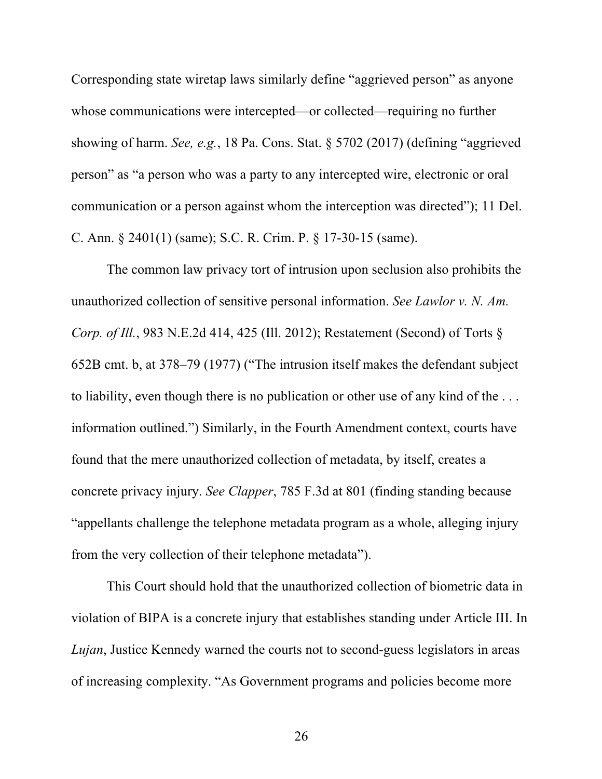Corresponding state wiretap laws similarly define "aggrieved person" as anyone whose communications were intercepted—or collected—requiring no further showing of harm. *See, e.g.*, 18 Pa. Cons. Stat. § 5702 (2017) (defining "aggrieved person" as "a person who was a party to any intercepted wire, electronic or oral communication or a person against whom the interception was directed"); 11 Del. C. Ann. § 2401(1) (same); S.C. R. Crim. P. § 17-30-15 (same).

The common law privacy tort of intrusion upon seclusion also prohibits the unauthorized collection of sensitive personal information. *See Lawlor v. N. Am. Corp. of Ill.*, 983 N.E.2d 414, 425 (Ill. 2012); Restatement (Second) of Torts § 652B cmt. b, at 378–79 (1977) ("The intrusion itself makes the defendant subject to liability, even though there is no publication or other use of any kind of the . . . information outlined.") Similarly, in the Fourth Amendment context, courts have found that the mere unauthorized collection of metadata, by itself, creates a concrete privacy injury. *See Clapper*, 785 F.3d at 801 (finding standing because "appellants challenge the telephone metadata program as a whole, alleging injury from the very collection of their telephone metadata").

This Court should hold that the unauthorized collection of biometric data in violation of BIPA is a concrete injury that establishes standing under Article III. In *Lujan*, Justice Kennedy warned the courts not to second-guess legislators in areas of increasing complexity. "As Government programs and policies become more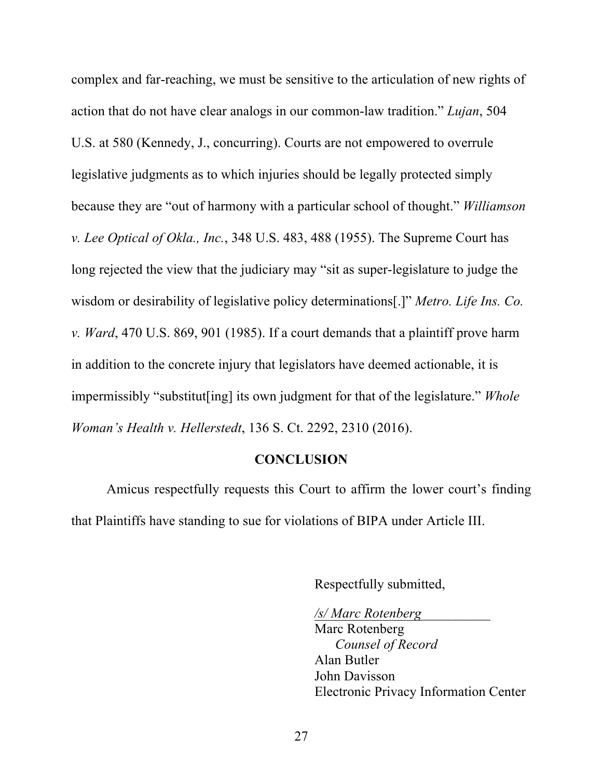complex and far-reaching, we must be sensitive to the articulation of new rights of action that do not have clear analogs in our common-law tradition." *Lujan*, 504 U.S. at 580 (Kennedy, J., concurring). Courts are not empowered to overrule legislative judgments as to which injuries should be legally protected simply because they are "out of harmony with a particular school of thought." *Williamson v. Lee Optical of Okla., Inc.*, 348 U.S. 483, 488 (1955). The Supreme Court has long rejected the view that the judiciary may "sit as super-legislature to judge the wisdom or desirability of legislative policy determinations[.]" *Metro. Life Ins. Co. v. Ward*, 470 U.S. 869, 901 (1985). If a court demands that a plaintiff prove harm in addition to the concrete injury that legislators have deemed actionable, it is impermissibly "substitut[ing] its own judgment for that of the legislature." *Whole Woman's Health v. Hellerstedt*, 136 S. Ct. 2292, 2310 (2016).

#### **CONCLUSION**

Amicus respectfully requests this Court to affirm the lower court's finding that Plaintiffs have standing to sue for violations of BIPA under Article III.

Respectfully submitted,

*/s/ Marc Rotenberg*\_\_\_\_\_\_\_\_\_\_ Marc Rotenberg *Counsel of Record* Alan Butler John Davisson Electronic Privacy Information Center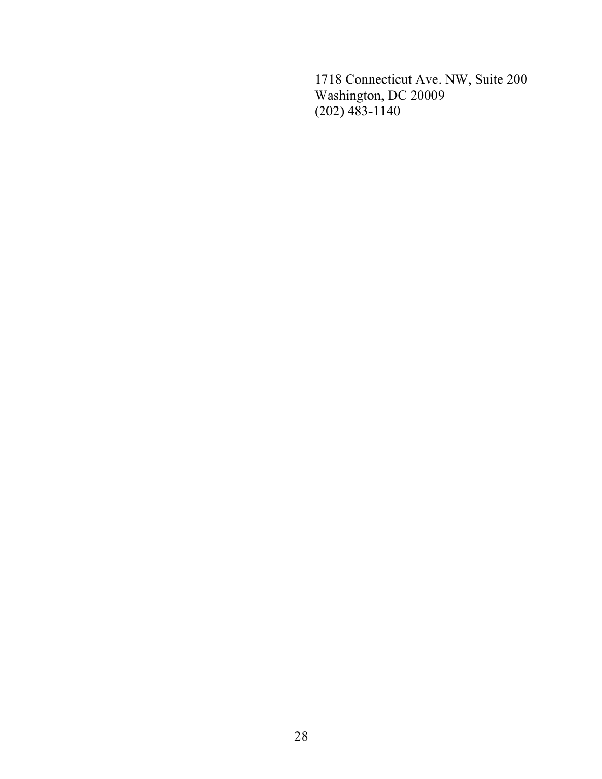1718 Connecticut Ave. NW, Suite 200 Washington, DC 20009 (202) 483-1140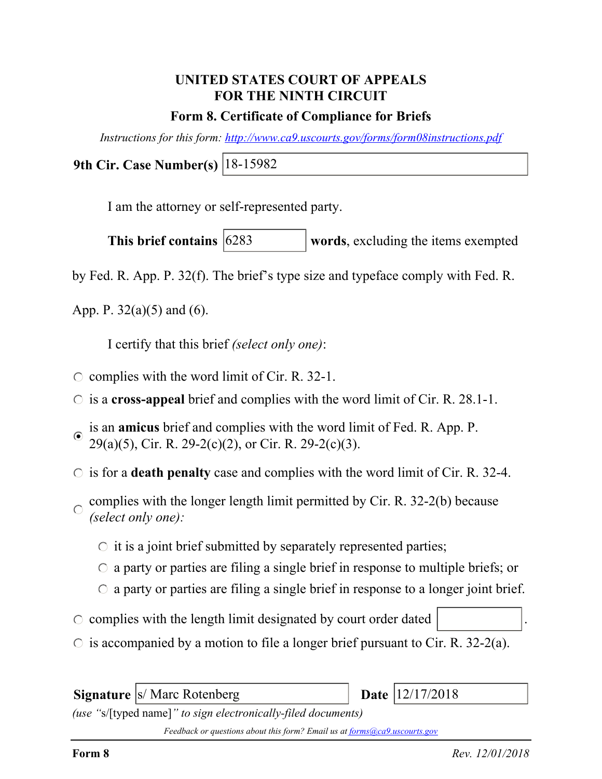## **UNITED STATES COURT OF APPEALS FOR THE NINTH CIRCUIT**

### **Form 8. Certificate of Compliance for Briefs**

*Instructions for this form: http://www.ca9.uscourts.gov/forms/form08instructions.pdf*

**9th Cir. Case Number(s)** 18-15982

I am the attorney or self-represented party.

**words**, excluding the items exempted This brief contains 6283

by Fed. R. App. P. 32(f). The brief's type size and typeface comply with Fed. R.

App. P.  $32(a)(5)$  and  $(6)$ .

I certify that this brief *(select only one)*:

- $\circ$  complies with the word limit of Cir. R. 32-1.
- is a **cross-appeal** brief and complies with the word limit of Cir. R. 28.1-1.
- is an **amicus** brief and complies with the word limit of Fed. R. App. P.  $\odot$  $29(a)(5)$ , Cir. R. 29-2(c)(2), or Cir. R. 29-2(c)(3).
- $\circ$  is for a **death penalty** case and complies with the word limit of Cir. R. 32-4.
- complies with the longer length limit permitted by Cir. R. 32-2(b) because  $\bigcap$ *(select only one):*
	- $\circ$  it is a joint brief submitted by separately represented parties;
	- $\circ$  a party or parties are filing a single brief in response to multiple briefs; or
	- $\circ$  a party or parties are filing a single brief in response to a longer joint brief.
- $\circ$  complies with the length limit designated by court order dated
- $\circ$  is accompanied by a motion to file a longer brief pursuant to Cir. R. 32-2(a).

**Signature** *s/* Marc Rotenberg

Date | 12/17/2018

*(use "*s/[typed name]*" to sign electronically-filed documents)*

*Feedback or questions about this form? Email us at forms@ca9.uscourts.gov*